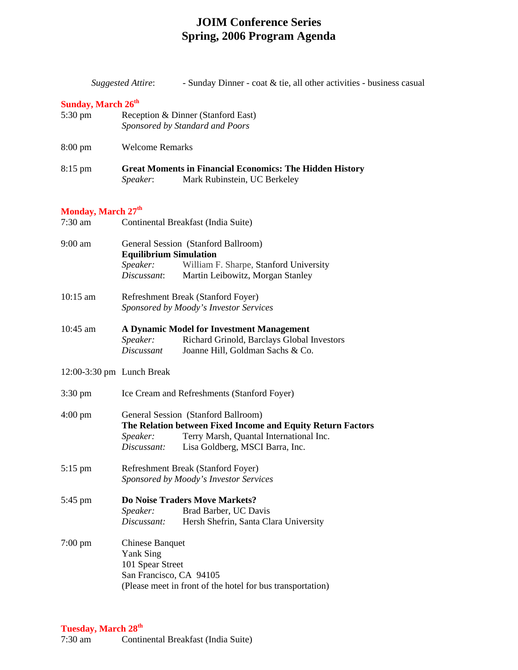## **JOIM Conference Series Spring, 2006 Program Agenda**

|                                      | <b>Suggested Attire:</b><br>- Sunday Dinner - coat & tie, all other activities - business casual                                                                                                            |  |  |
|--------------------------------------|-------------------------------------------------------------------------------------------------------------------------------------------------------------------------------------------------------------|--|--|
| <b>Sunday, March 26th</b><br>5:30 pm | Reception & Dinner (Stanford East)<br>Sponsored by Standard and Poors                                                                                                                                       |  |  |
| $8:00 \text{ pm}$                    | <b>Welcome Remarks</b>                                                                                                                                                                                      |  |  |
| $8:15$ pm                            | <b>Great Moments in Financial Economics: The Hidden History</b><br>Mark Rubinstein, UC Berkeley<br>Speaker:                                                                                                 |  |  |
| Monday, March 27 <sup>th</sup>       |                                                                                                                                                                                                             |  |  |
| $7:30$ am                            | Continental Breakfast (India Suite)                                                                                                                                                                         |  |  |
| $9:00$ am                            | General Session (Stanford Ballroom)<br><b>Equilibrium Simulation</b><br>Speaker:<br>William F. Sharpe, Stanford University<br>Discussant:<br>Martin Leibowitz, Morgan Stanley                               |  |  |
| $10:15$ am                           | Refreshment Break (Stanford Foyer)<br>Sponsored by Moody's Investor Services                                                                                                                                |  |  |
| $10:45$ am                           | A Dynamic Model for Investment Management<br>Richard Grinold, Barclays Global Investors<br>Speaker:<br>Joanne Hill, Goldman Sachs & Co.<br>Discussant                                                       |  |  |
| $12:00-3:30$ pm Lunch Break          |                                                                                                                                                                                                             |  |  |
| $3:30 \text{ pm}$                    | Ice Cream and Refreshments (Stanford Foyer)                                                                                                                                                                 |  |  |
| $4:00 \text{ pm}$                    | General Session (Stanford Ballroom)<br>The Relation between Fixed Income and Equity Return Factors<br>Speaker:<br>Terry Marsh, Quantal International Inc.<br>Lisa Goldberg, MSCI Barra, Inc.<br>Discussant: |  |  |
| $5:15$ pm                            | Refreshment Break (Stanford Foyer)<br>Sponsored by Moody's Investor Services                                                                                                                                |  |  |
| 5:45 pm                              | Do Noise Traders Move Markets?<br>Brad Barber, UC Davis<br>Speaker:<br>Discussant:<br>Hersh Shefrin, Santa Clara University                                                                                 |  |  |
| $7:00 \text{ pm}$                    | <b>Chinese Banquet</b><br><b>Yank Sing</b><br>101 Spear Street<br>San Francisco, CA 94105<br>(Please meet in front of the hotel for bus transportation)                                                     |  |  |